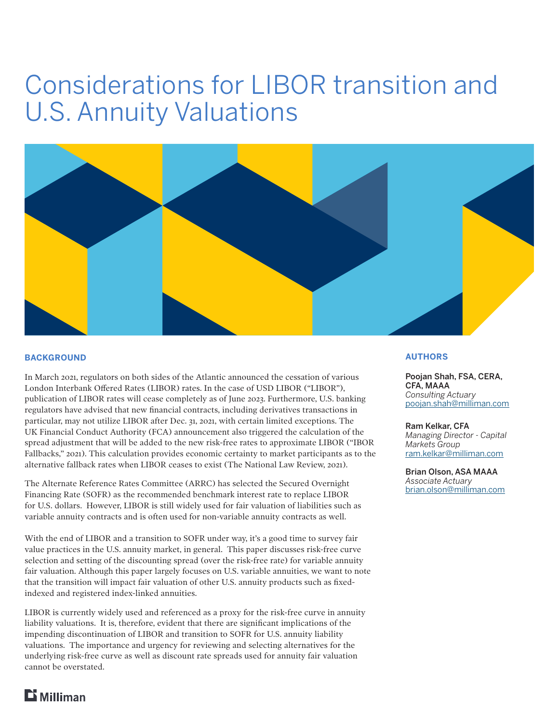# Considerations for LIBOR transition and U.S. Annuity Valuations



#### **BACKGROUND**

In March 2021, regulators on both sides of the Atlantic announced the cessation of various London Interbank Offered Rates (LIBOR) rates. In the case of USD LIBOR ("LIBOR"), publication of LIBOR rates will cease completely as of June 2023. Furthermore, U.S. banking regulators have advised that new financial contracts, including derivatives transactions in particular, may not utilize LIBOR after Dec. 31, 2021, with certain limited exceptions. The UK Financial Conduct Authority (FCA) announcement also triggered the calculation of the spread adjustment that will be added to the new risk-free rates to approximate LIBOR ("IBOR Fallbacks," 2021). This calculation provides economic certainty to market participants as to the alternative fallback rates when LIBOR ceases to exist (The National Law Review, 2021).

The Alternate Reference Rates Committee (ARRC) has selected the Secured Overnight Financing Rate (SOFR) as the recommended benchmark interest rate to replace LIBOR for U.S. dollars. However, LIBOR is still widely used for fair valuation of liabilities such as variable annuity contracts and is often used for non-variable annuity contracts as well.

With the end of LIBOR and a transition to SOFR under way, it's a good time to survey fair value practices in the U.S. annuity market, in general. This paper discusses risk-free curve selection and setting of the discounting spread (over the risk-free rate) for variable annuity fair valuation. Although this paper largely focuses on U.S. variable annuities, we want to note that the transition will impact fair valuation of other U.S. annuity products such as fixedindexed and registered index-linked annuities.

LIBOR is currently widely used and referenced as a proxy for the risk-free curve in annuity liability valuations. It is, therefore, evident that there are significant implications of the impending discontinuation of LIBOR and transition to SOFR for U.S. annuity liability valuations. The importance and urgency for reviewing and selecting alternatives for the underlying risk-free curve as well as discount rate spreads used for annuity fair valuation cannot be overstated.

#### **AUTHORS**

Poojan Shah, FSA, CERA, CFA, MAAA *Consulting Actuary* [poojan.shah@milliman.com](mailto:poojan.shah%40milliman.com%20?subject=Milliman%20FRM%20white%20paper)

Ram Kelkar, CFA *Managing Director - Capital Markets Group* [ram.kelkar@milliman.com](mailto:ram.kelkar%40milliman.com?subject=Milliman%20FRM%20white%20paper)

Brian Olson, ASA MAAA *Associate Actuary* brian.olson@milliman.com

# $$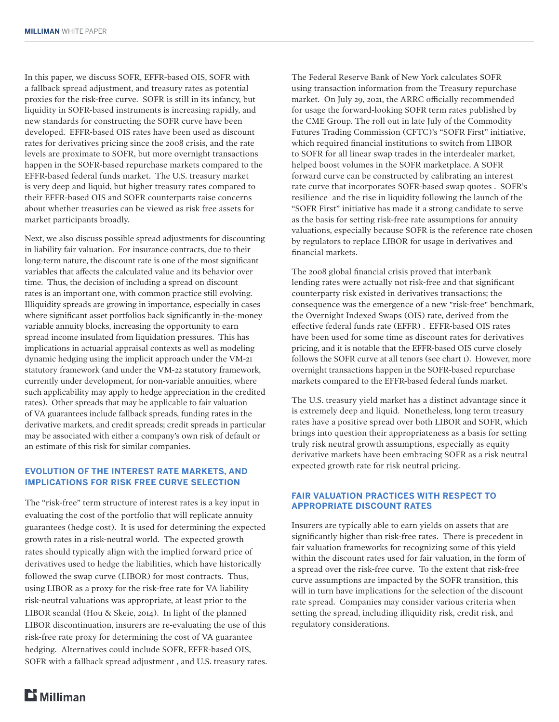In this paper, we discuss SOFR, EFFR-based OIS, SOFR with a fallback spread adjustment, and treasury rates as potential proxies for the risk-free curve. SOFR is still in its infancy, but liquidity in SOFR-based instruments is increasing rapidly, and new standards for constructing the SOFR curve have been developed. EFFR-based OIS rates have been used as discount rates for derivatives pricing since the 2008 crisis, and the rate levels are proximate to SOFR, but more overnight transactions happen in the SOFR-based repurchase markets compared to the EFFR-based federal funds market. The U.S. treasury market is very deep and liquid, but higher treasury rates compared to their EFFR-based OIS and SOFR counterparts raise concerns about whether treasuries can be viewed as risk free assets for market participants broadly.

Next, we also discuss possible spread adjustments for discounting in liability fair valuation. For insurance contracts, due to their long-term nature, the discount rate is one of the most significant variables that affects the calculated value and its behavior over time. Thus, the decision of including a spread on discount rates is an important one, with common practice still evolving. Illiquidity spreads are growing in importance, especially in cases where significant asset portfolios back significantly in-the-money variable annuity blocks, increasing the opportunity to earn spread income insulated from liquidation pressures. This has implications in actuarial appraisal contexts as well as modeling dynamic hedging using the implicit approach under the VM-21 statutory framework (and under the VM-22 statutory framework, currently under development, for non-variable annuities, where such applicability may apply to hedge appreciation in the credited rates). Other spreads that may be applicable to fair valuation of VA guarantees include fallback spreads, funding rates in the derivative markets, and credit spreads; credit spreads in particular may be associated with either a company's own risk of default or an estimate of this risk for similar companies.

# **EVOLUTION OF THE INTEREST RATE MARKETS, AND IMPLICATIONS FOR RISK FREE CURVE SELECTION**

The "risk-free" term structure of interest rates is a key input in evaluating the cost of the portfolio that will replicate annuity guarantees (hedge cost). It is used for determining the expected growth rates in a risk-neutral world. The expected growth rates should typically align with the implied forward price of derivatives used to hedge the liabilities, which have historically followed the swap curve (LIBOR) for most contracts. Thus, using LIBOR as a proxy for the risk-free rate for VA liability risk-neutral valuations was appropriate, at least prior to the LIBOR scandal (Hou & Skeie, 2014). In light of the planned LIBOR discontinuation, insurers are re-evaluating the use of this risk-free rate proxy for determining the cost of VA guarantee hedging. Alternatives could include SOFR, EFFR-based OIS, SOFR with a fallback spread adjustment , and U.S. treasury rates. The Federal Reserve Bank of New York calculates SOFR using transaction information from the Treasury repurchase market. On July 29, 2021, the ARRC officially recommended for usage the forward-looking SOFR term rates published by the CME Group. The roll out in late July of the Commodity Futures Trading Commission (CFTC)'s "SOFR First" initiative, which required financial institutions to switch from LIBOR to SOFR for all linear swap trades in the interdealer market, helped boost volumes in the SOFR marketplace. A SOFR forward curve can be constructed by calibrating an interest rate curve that incorporates SOFR-based swap quotes . SOFR's resilience and the rise in liquidity following the launch of the "SOFR First" initiative has made it a strong candidate to serve as the basis for setting risk-free rate assumptions for annuity valuations, especially because SOFR is the reference rate chosen by regulators to replace LIBOR for usage in derivatives and financial markets.

The 2008 global financial crisis proved that interbank lending rates were actually not risk-free and that significant counterparty risk existed in derivatives transactions; the consequence was the emergence of a new "risk-free" benchmark, the Overnight Indexed Swaps (OIS) rate, derived from the effective federal funds rate (EFFR) . EFFR-based OIS rates have been used for some time as discount rates for derivatives pricing, and it is notable that the EFFR-based OIS curve closely follows the SOFR curve at all tenors (see chart 1). However, more overnight transactions happen in the SOFR-based repurchase markets compared to the EFFR-based federal funds market.

The U.S. treasury yield market has a distinct advantage since it is extremely deep and liquid. Nonetheless, long term treasury rates have a positive spread over both LIBOR and SOFR, which brings into question their appropriateness as a basis for setting truly risk neutral growth assumptions, especially as equity derivative markets have been embracing SOFR as a risk neutral expected growth rate for risk neutral pricing.

# **FAIR VALUATION PRACTICES WITH RESPECT TO APPROPRIATE DISCOUNT RATES**

Insurers are typically able to earn yields on assets that are significantly higher than risk-free rates. There is precedent in fair valuation frameworks for recognizing some of this yield within the discount rates used for fair valuation, in the form of a spread over the risk-free curve. To the extent that risk-free curve assumptions are impacted by the SOFR transition, this will in turn have implications for the selection of the discount rate spread. Companies may consider various criteria when setting the spread, including illiquidity risk, credit risk, and regulatory considerations.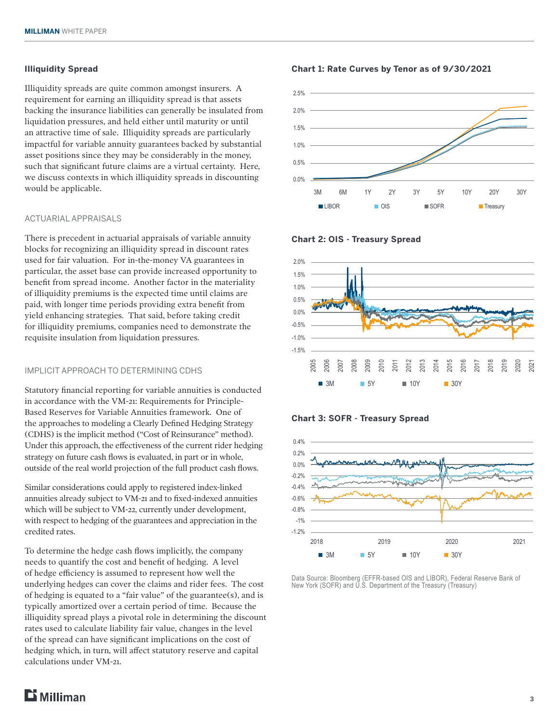# **Illiquidity Spread**

Illiquidity spreads are quite common amongst insurers. A requirement for earning an illiquidity spread is that assets backing the insurance liabilities can generally be insulated from liquidation pressures, and held either until maturity or until an attractive time of sale. Illiquidity spreads are particularly impactful for variable annuity guarantees backed by substantial asset positions since they may be considerably in the money, such that significant future claims are a virtual certainty. Here, we discuss contexts in which illiquidity spreads in discounting would be applicable.

#### ACTUARIAL APPRAISALS

There is precedent in actuarial appraisals of variable annuity blocks for recognizing an illiquidity spread in discount rates used for fair valuation. For in-the-money VA guarantees in particular, the asset base can provide increased opportunity to benefit from spread income. Another factor in the materiality of illiquidity premiums is the expected time until claims are paid, with longer time periods providing extra benefit from yield enhancing strategies. That said, before taking credit for illiquidity premiums, companies need to demonstrate the requisite insulation from liquidation pressures.

#### IMPLICIT APPROACH TO DETERMINING CDHS

Statutory financial reporting for variable annuities is conducted in accordance with the VM-21: Requirements for Principle-Based Reserves for Variable Annuities framework. One of the approaches to modeling a Clearly Defined Hedging Strategy (CDHS) is the implicit method ("Cost of Reinsurance" method). Under this approach, the effectiveness of the current rider hedging strategy on future cash flows is evaluated, in part or in whole, outside of the real world projection of the full product cash flows.

Similar considerations could apply to registered index-linked annuities already subject to VM-21 and to fixed-indexed annuities which will be subject to VM-22, currently under development, with respect to hedging of the guarantees and appreciation in the credited rates.

To determine the hedge cash flows implicitly, the company needs to quantify the cost and benefit of hedging. A level of hedge efficiency is assumed to represent how well the underlying hedges can cover the claims and rider fees. The cost of hedging is equated to a "fair value" of the guarantee(s), and is typically amortized over a certain period of time. Because the illiquidity spread plays a pivotal role in determining the discount rates used to calculate liability fair value, changes in the level of the spread can have significant implications on the cost of hedging which, in turn, will affect statutory reserve and capital calculations under VM-21.

#### **Chart 1: Rate Curves by Tenor as of 9/30/2021**









Data Source: Bloomberg (EFFR-based OIS and LIBOR), Federal Reserve Bank of New York (SOFR) and U.S. Department of the Treasury (Treasury)

2018 2019 2020 2021

3M 5Y 10Y 30Y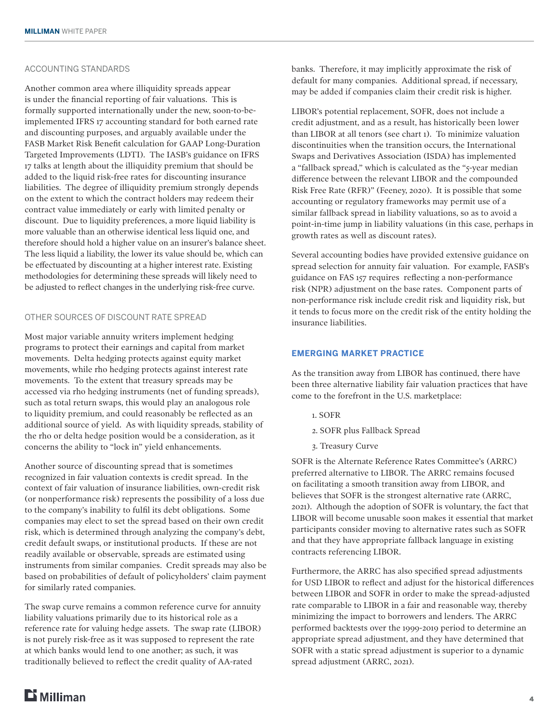#### ACCOUNTING STANDARDS

Another common area where illiquidity spreads appear is under the financial reporting of fair valuations. This is formally supported internationally under the new, soon-to-beimplemented IFRS 17 accounting standard for both earned rate and discounting purposes, and arguably available under the FASB Market Risk Benefit calculation for GAAP Long-Duration Targeted Improvements (LDTI). The IASB's guidance on IFRS 17 talks at length about the illiquidity premium that should be added to the liquid risk-free rates for discounting insurance liabilities. The degree of illiquidity premium strongly depends on the extent to which the contract holders may redeem their contract value immediately or early with limited penalty or discount. Due to liquidity preferences, a more liquid liability is more valuable than an otherwise identical less liquid one, and therefore should hold a higher value on an insurer's balance sheet. The less liquid a liability, the lower its value should be, which can be effectuated by discounting at a higher interest rate. Existing methodologies for determining these spreads will likely need to be adjusted to reflect changes in the underlying risk-free curve.

# OTHER SOURCES OF DISCOUNT RATE SPREAD

Most major variable annuity writers implement hedging programs to protect their earnings and capital from market movements. Delta hedging protects against equity market movements, while rho hedging protects against interest rate movements. To the extent that treasury spreads may be accessed via rho hedging instruments (net of funding spreads), such as total return swaps, this would play an analogous role to liquidity premium, and could reasonably be reflected as an additional source of yield. As with liquidity spreads, stability of the rho or delta hedge position would be a consideration, as it concerns the ability to "lock in" yield enhancements.

Another source of discounting spread that is sometimes recognized in fair valuation contexts is credit spread. In the context of fair valuation of insurance liabilities, own-credit risk (or nonperformance risk) represents the possibility of a loss due to the company's inability to fulfil its debt obligations. Some companies may elect to set the spread based on their own credit risk, which is determined through analyzing the company's debt, credit default swaps, or institutional products. If these are not readily available or observable, spreads are estimated using instruments from similar companies. Credit spreads may also be based on probabilities of default of policyholders' claim payment for similarly rated companies.

The swap curve remains a common reference curve for annuity liability valuations primarily due to its historical role as a reference rate for valuing hedge assets. The swap rate (LIBOR) is not purely risk-free as it was supposed to represent the rate at which banks would lend to one another; as such, it was traditionally believed to reflect the credit quality of AA-rated

banks. Therefore, it may implicitly approximate the risk of default for many companies. Additional spread, if necessary, may be added if companies claim their credit risk is higher.

LIBOR's potential replacement, SOFR, does not include a credit adjustment, and as a result, has historically been lower than LIBOR at all tenors (see chart 1). To minimize valuation discontinuities when the transition occurs, the International Swaps and Derivatives Association (ISDA) has implemented a "fallback spread," which is calculated as the "5-year median difference between the relevant LIBOR and the compounded Risk Free Rate (RFR)" (Feeney, 2020). It is possible that some accounting or regulatory frameworks may permit use of a similar fallback spread in liability valuations, so as to avoid a point-in-time jump in liability valuations (in this case, perhaps in growth rates as well as discount rates).

Several accounting bodies have provided extensive guidance on spread selection for annuity fair valuation. For example, FASB's guidance on FAS 157 requires reflecting a non-performance risk (NPR) adjustment on the base rates. Component parts of non-performance risk include credit risk and liquidity risk, but it tends to focus more on the credit risk of the entity holding the insurance liabilities.

# **EMERGING MARKET PRACTICE**

As the transition away from LIBOR has continued, there have been three alternative liability fair valuation practices that have come to the forefront in the U.S. marketplace:

- 1. SOFR
- 2. SOFR plus Fallback Spread
- 3. Treasury Curve

SOFR is the Alternate Reference Rates Committee's (ARRC) preferred alternative to LIBOR. The ARRC remains focused on facilitating a smooth transition away from LIBOR, and believes that SOFR is the strongest alternative rate (ARRC, 2021). Although the adoption of SOFR is voluntary, the fact that LIBOR will become unusable soon makes it essential that market participants consider moving to alternative rates such as SOFR and that they have appropriate fallback language in existing contracts referencing LIBOR.

Furthermore, the ARRC has also specified spread adjustments for USD LIBOR to reflect and adjust for the historical differences between LIBOR and SOFR in order to make the spread-adjusted rate comparable to LIBOR in a fair and reasonable way, thereby minimizing the impact to borrowers and lenders. The ARRC performed backtests over the 1999-2019 period to determine an appropriate spread adjustment, and they have determined that SOFR with a static spread adjustment is superior to a dynamic spread adjustment (ARRC, 2021).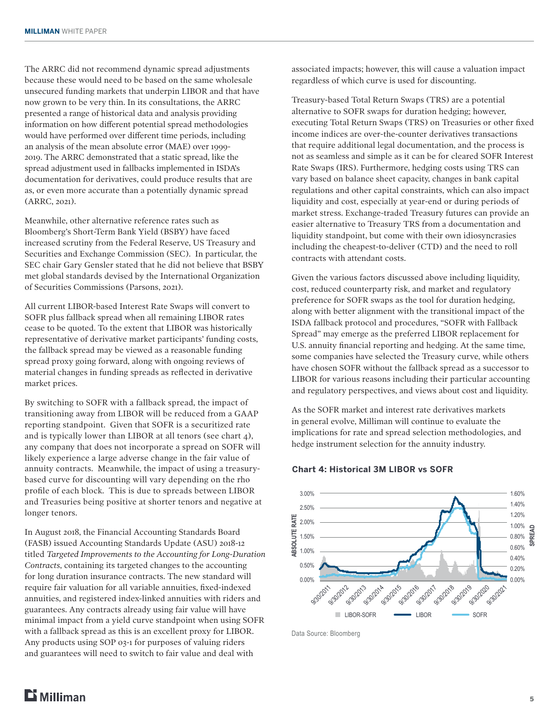The ARRC did not recommend dynamic spread adjustments because these would need to be based on the same wholesale unsecured funding markets that underpin LIBOR and that have now grown to be very thin. In its consultations, the ARRC presented a range of historical data and analysis providing information on how different potential spread methodologies would have performed over different time periods, including an analysis of the mean absolute error (MAE) over 1999- 2019. The ARRC demonstrated that a static spread, like the spread adjustment used in fallbacks implemented in ISDA's documentation for derivatives, could produce results that are as, or even more accurate than a potentially dynamic spread (ARRC, 2021).

Meanwhile, other alternative reference rates such as Bloomberg's Short-Term Bank Yield (BSBY) have faced increased scrutiny from the Federal Reserve, US Treasury and Securities and Exchange Commission (SEC). In particular, the SEC chair Gary Gensler stated that he did not believe that BSBY met global standards devised by the International Organization of Securities Commissions (Parsons, 2021).

All current LIBOR-based Interest Rate Swaps will convert to SOFR plus fallback spread when all remaining LIBOR rates cease to be quoted. To the extent that LIBOR was historically representative of derivative market participants' funding costs, the fallback spread may be viewed as a reasonable funding spread proxy going forward, along with ongoing reviews of material changes in funding spreads as reflected in derivative market prices.

By switching to SOFR with a fallback spread, the impact of transitioning away from LIBOR will be reduced from a GAAP reporting standpoint. Given that SOFR is a securitized rate and is typically lower than LIBOR at all tenors (see chart 4), any company that does not incorporate a spread on SOFR will likely experience a large adverse change in the fair value of annuity contracts. Meanwhile, the impact of using a treasurybased curve for discounting will vary depending on the rho profile of each block. This is due to spreads between LIBOR and Treasuries being positive at shorter tenors and negative at longer tenors.

In August 2018, the Financial Accounting Standards Board (FASB) issued Accounting Standards Update (ASU) 2018-12 titled *Targeted Improvements to the Accounting for Long-Duration Contracts*, containing its targeted changes to the accounting for long duration insurance contracts. The new standard will require fair valuation for all variable annuities, fixed-indexed annuities, and registered index-linked annuities with riders and guarantees. Any contracts already using fair value will have minimal impact from a yield curve standpoint when using SOFR with a fallback spread as this is an excellent proxy for LIBOR. Any products using SOP 03-1 for purposes of valuing riders and guarantees will need to switch to fair value and deal with

associated impacts; however, this will cause a valuation impact regardless of which curve is used for discounting.

Treasury-based Total Return Swaps (TRS) are a potential alternative to SOFR swaps for duration hedging; however, executing Total Return Swaps (TRS) on Treasuries or other fixed income indices are over-the-counter derivatives transactions that require additional legal documentation, and the process is not as seamless and simple as it can be for cleared SOFR Interest Rate Swaps (IRS). Furthermore, hedging costs using TRS can vary based on balance sheet capacity, changes in bank capital regulations and other capital constraints, which can also impact liquidity and cost, especially at year-end or during periods of market stress. Exchange-traded Treasury futures can provide an easier alternative to Treasury TRS from a documentation and liquidity standpoint, but come with their own idiosyncrasies including the cheapest-to-deliver (CTD) and the need to roll contracts with attendant costs.

Given the various factors discussed above including liquidity, cost, reduced counterparty risk, and market and regulatory preference for SOFR swaps as the tool for duration hedging, along with better alignment with the transitional impact of the ISDA fallback protocol and procedures, "SOFR with Fallback Spread" may emerge as the preferred LIBOR replacement for U.S. annuity financial reporting and hedging. At the same time, some companies have selected the Treasury curve, while others have chosen SOFR without the fallback spread as a successor to LIBOR for various reasons including their particular accounting and regulatory perspectives, and views about cost and liquidity.

As the SOFR market and interest rate derivatives markets in general evolve, Milliman will continue to evaluate the implications for rate and spread selection methodologies, and hedge instrument selection for the annuity industry.



#### **Chart 4: Historical 3M LIBOR vs SOFR**

Data Source: Bloomberg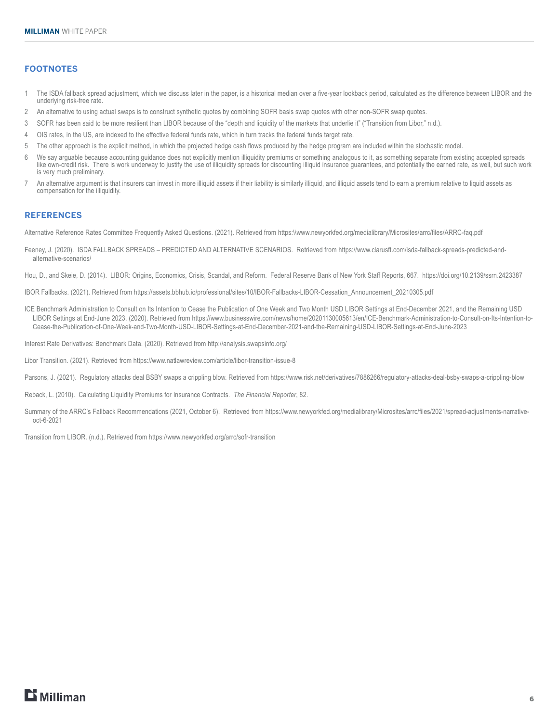# **FOOTNOTES**

- 1 The ISDA fallback spread adjustment, which we discuss later in the paper, is a historical median over a five-year lookback period, calculated as the difference between LIBOR and the underlying risk-free rate.
- 2 An alternative to using actual swaps is to construct synthetic quotes by combining SOFR basis swap quotes with other non-SOFR swap quotes.
- 3 SOFR has been said to be more resilient than LIBOR because of the "depth and liquidity of the markets that underlie it" ("Transition from Libor," n.d.).
- 4 OIS rates, in the US, are indexed to the effective federal funds rate, which in turn tracks the federal funds target rate.
- 5 The other approach is the explicit method, in which the projected hedge cash flows produced by the hedge program are included within the stochastic model.
- 6 We say arguable because accounting guidance does not explicitly mention illiquidity premiums or something analogous to it, as something separate from existing accepted spreads like own-credit risk. There is work underway to justify the use of illiquidity spreads for discounting illiquid insurance guarantees, and potentially the earned rate, as well, but such work is very much preliminary.
- 7 An alternative argument is that insurers can invest in more illiquid assets if their liability is similarly illiquid, and illiquid assets tend to earn a premium relative to liquid assets as compensation for the illiquidity.

#### **REFERENCES**

Alternative Reference Rates Committee Frequently Asked Questions. (2021). Retrieved from https:\\www.newyorkfed.org/medialibrary/Microsites/arrc/files/ARRC-faq.pdf

Feeney, J. (2020). ISDA FALLBACK SPREADS - PREDICTED AND ALTERNATIVE SCENARIOS. Retrieved from https://www.clarusft.com/isda-fallback-spreads-predicted-andalternative-scenarios/

Hou, D., and Skeie, D. (2014). LIBOR: Origins, Economics, Crisis, Scandal, and Reform. Federal Reserve Bank of New York Staff Reports, 667. https://doi.org/10.2139/ssrn.2423387

IBOR Fallbacks. (2021). Retrieved from https://assets.bbhub.io/professional/sites/10/IBOR-Fallbacks-LIBOR-Cessation\_Announcement\_20210305.pdf

ICE Benchmark Administration to Consult on Its Intention to Cease the Publication of One Week and Two Month USD LIBOR Settings at End-December 2021, and the Remaining USD LIBOR Settings at End-June 2023. (2020). Retrieved from https://www.businesswire.com/news/home/20201130005613/en/ICE-Benchmark-Administration-to-Consult-on-Its-Intention-to-Cease-the-Publication-of-One-Week-and-Two-Month-USD-LIBOR-Settings-at-End-December-2021-and-the-Remaining-USD-LIBOR-Settings-at-End-June-2023

Interest Rate Derivatives: Benchmark Data. (2020). Retrieved from http://analysis.swapsinfo.org/

Libor Transition. (2021). Retrieved from https://www.natlawreview.com/article/libor-transition-issue-8

Parsons, J. (2021). Regulatory attacks deal BSBY swaps a crippling blow. Retrieved from https://www.risk.net/derivatives/7886266/regulatory-attacks-deal-bsby-swaps-a-crippling-blow

Reback, L. (2010). Calculating Liquidity Premiums for Insurance Contracts. *The Financial Reporter*, 82.

Summary of the ARRC's Fallback Recommendations (2021, October 6). Retrieved from https://www.newyorkfed.org/medialibrary/Microsites/arrc/files/2021/spread-adjustments-narrativeoct-6-2021

Transition from LIBOR. (n.d.). Retrieved from https://www.newyorkfed.org/arrc/sofr-transition